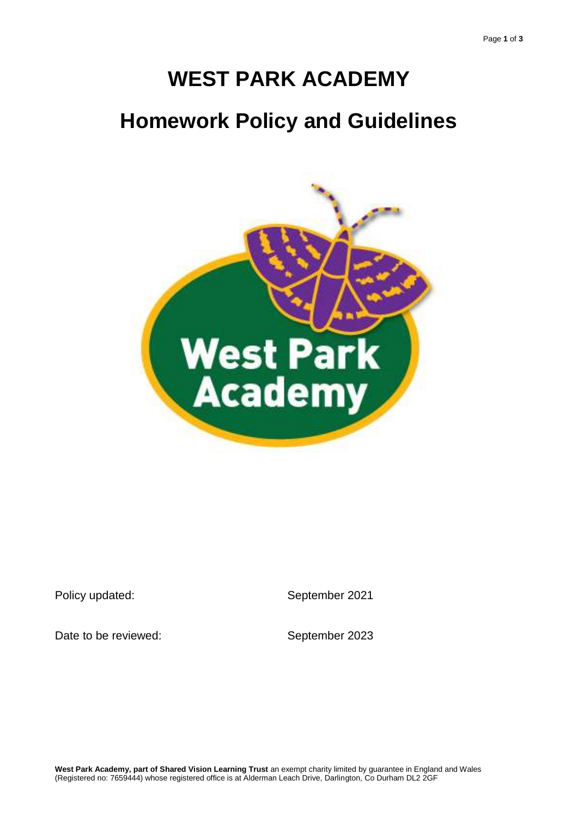# **WEST PARK ACADEMY Homework Policy and Guidelines**



Policy updated:

September 2021

Date to be reviewed:

September 2023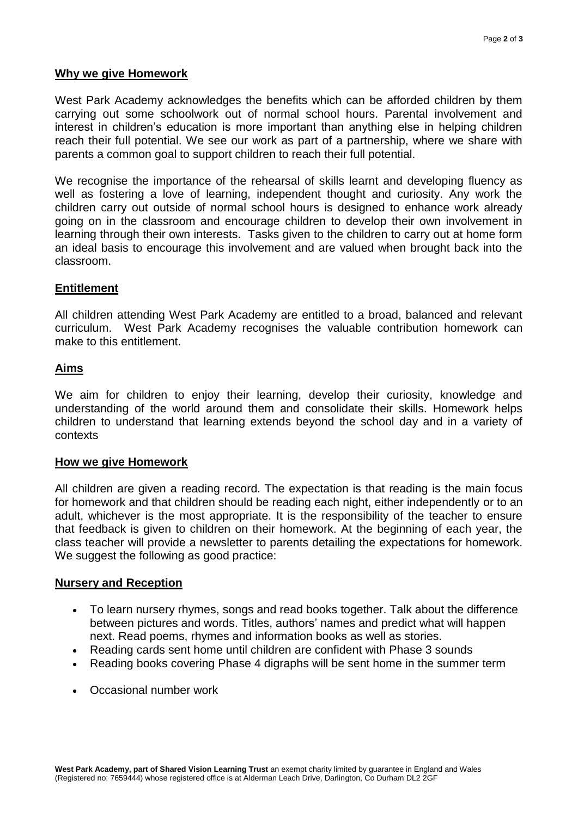## **Why we give Homework**

West Park Academy acknowledges the benefits which can be afforded children by them carrying out some schoolwork out of normal school hours. Parental involvement and interest in children's education is more important than anything else in helping children reach their full potential. We see our work as part of a partnership, where we share with parents a common goal to support children to reach their full potential.

We recognise the importance of the rehearsal of skills learnt and developing fluency as well as fostering a love of learning, independent thought and curiosity. Any work the children carry out outside of normal school hours is designed to enhance work already going on in the classroom and encourage children to develop their own involvement in learning through their own interests. Tasks given to the children to carry out at home form an ideal basis to encourage this involvement and are valued when brought back into the classroom.

## **Entitlement**

All children attending West Park Academy are entitled to a broad, balanced and relevant curriculum. West Park Academy recognises the valuable contribution homework can make to this entitlement.

#### **Aims**

We aim for children to enjoy their learning, develop their curiosity, knowledge and understanding of the world around them and consolidate their skills. Homework helps children to understand that learning extends beyond the school day and in a variety of contexts

#### **How we give Homework**

All children are given a reading record. The expectation is that reading is the main focus for homework and that children should be reading each night, either independently or to an adult, whichever is the most appropriate. It is the responsibility of the teacher to ensure that feedback is given to children on their homework. At the beginning of each year, the class teacher will provide a newsletter to parents detailing the expectations for homework. We suggest the following as good practice:

#### **Nursery and Reception**

- To learn nursery rhymes, songs and read books together. Talk about the difference between pictures and words. Titles, authors' names and predict what will happen next. Read poems, rhymes and information books as well as stories.
- Reading cards sent home until children are confident with Phase 3 sounds
- Reading books covering Phase 4 digraphs will be sent home in the summer term
- Occasional number work